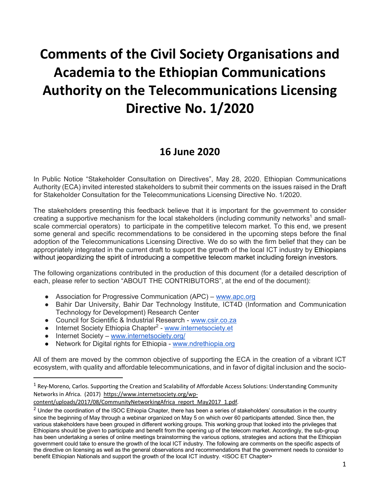# **Comments of the Civil Society Organisations and Academia to the Ethiopian Communications Authority on the Telecommunications Licensing Directive No. 1/2020**

# **16 June 2020**

In Public Notice "Stakeholder Consultation on Directives", May 28, 2020, Ethiopian Communications Authority (ECA) invited interested stakeholders to submit their comments on the issues raised in the Draft for Stakeholder Consultation for the Telecommunications Licensing Directive No. 1/2020.

The stakeholders presenting this feedback believe that it is important for the government to consider creating a supportive mechanism for the local stakeholders (including community networks<sup>1</sup> and smallscale commercial operators) to participate in the competitive telecom market. To this end, we present some general and specific recommendations to be considered in the upcoming steps before the final adoption of the Telecommunications Licensing Directive. We do so with the firm belief that they can be appropriately integrated in the current draft to support the growth of the local ICT industry by Ethiopians without jeopardizing the spirit of introducing a competitive telecom market including foreign investors.

The following organizations contributed in the production of this document (for a detailed description of each, please refer to section "ABOUT THE CONTRIBUTORS", at the end of the document):

- Association for Progressive Communication (APC) www.apc.org
- Bahir Dar University, Bahir Dar Technology Institute, ICT4D (Information and Communication Technology for Development) Research Center
- Council for Scientific & Industrial Research www.csir.co.za
- Internet Society Ethiopia Chapter<sup>2</sup> www.internetsociety.et
- Internet Society www.internetsociety.org/
- Network for Digital rights for Ethiopia www.ndrethiopia.org

All of them are moved by the common objective of supporting the ECA in the creation of a vibrant ICT ecosystem, with quality and affordable telecommunications, and in favor of digital inclusion and the socio-

 $1$  Rey-Moreno, Carlos. Supporting the Creation and Scalability of Affordable Access Solutions: Understanding Community Networks in Africa. (2017) https://www.internetsociety.org/wp-

content/uploads/2017/08/CommunityNetworkingAfrica\_report\_May2017\_1.pdf. 2 Under the coordination of the ISOC Ethiopia Chapter, there has been a series of stakeholders' consultation in the country since the beginning of May through a webinar organized on May 5 on which over 60 participants attended. Since then, the various stakeholders have been grouped in different working groups. This working group that looked into the privileges that Ethiopians should be given to participate and benefit from the opening up of the telecom market. Accordingly, the sub-group has been undertaking a series of online meetings brainstorming the various options, strategies and actions that the Ethiopian government could take to ensure the growth of the local ICT industry. The following are comments on the specific aspects of the directive on licensing as well as the general observations and recommendations that the government needs to consider to benefit Ethiopian Nationals and support the growth of the local ICT industry. <ISOC ET Chapter>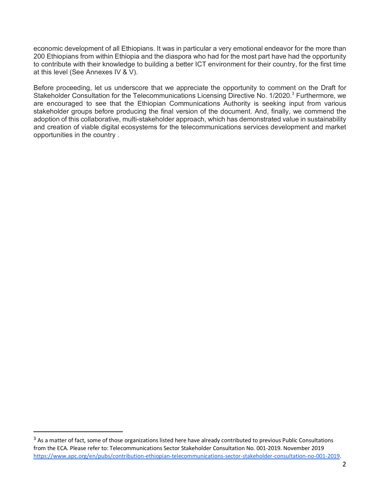economic development of all Ethiopians. It was in particular a very emotional endeavor for the more than 200 Ethiopians from within Ethiopia and the diaspora who had for the most part have had the opportunity to contribute with their knowledge to building a better ICT environment for their country, for the first time at this level (See Annexes IV & V).

Before proceeding, let us underscore that we appreciate the opportunity to comment on the Draft for Stakeholder Consultation for the Telecommunications Licensing Directive No. 1/2020.<sup>3</sup> Furthermore, we are encouraged to see that the Ethiopian Communications Authority is seeking input from various stakeholder groups before producing the final version of the document. And, finally, we commend the adoption of this collaborative, multi-stakeholder approach, which has demonstrated value in sustainability and creation of viable digital ecosystems for the telecommunications services development and market opportunities in the country .

<sup>&</sup>lt;sup>3</sup> As a matter of fact, some of those organizations listed here have already contributed to previous Public Consultations from the ECA. Please refer to: Telecommunications Sector Stakeholder Consultation No. 001-2019. November 2019 https://www.apc.org/en/pubs/contribution-ethiopian-telecommunications-sector-stakeholder-consultation-no-001-2019.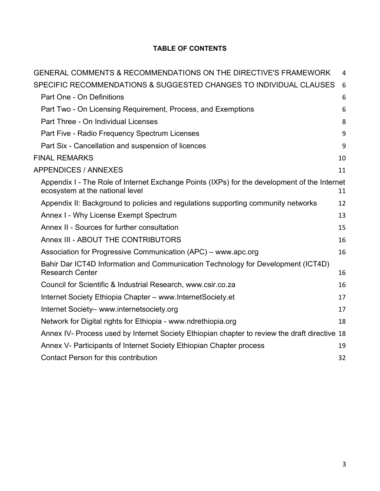# **TABLE OF CONTENTS**

| GENERAL COMMENTS & RECOMMENDATIONS ON THE DIRECTIVE'S FRAMEWORK                                                                 | 4  |
|---------------------------------------------------------------------------------------------------------------------------------|----|
| SPECIFIC RECOMMENDATIONS & SUGGESTED CHANGES TO INDIVIDUAL CLAUSES                                                              | 6  |
| Part One - On Definitions                                                                                                       | 6  |
| Part Two - On Licensing Requirement, Process, and Exemptions                                                                    | 6  |
| Part Three - On Individual Licenses                                                                                             | 8  |
| Part Five - Radio Frequency Spectrum Licenses                                                                                   | 9  |
| Part Six - Cancellation and suspension of licences                                                                              | 9  |
| <b>FINAL REMARKS</b>                                                                                                            | 10 |
| <b>APPENDICES / ANNEXES</b>                                                                                                     | 11 |
| Appendix I - The Role of Internet Exchange Points (IXPs) for the development of the Internet<br>ecosystem at the national level | 11 |
| Appendix II: Background to policies and regulations supporting community networks                                               | 12 |
| Annex I - Why License Exempt Spectrum                                                                                           | 13 |
| Annex II - Sources for further consultation                                                                                     | 15 |
| Annex III - ABOUT THE CONTRIBUTORS                                                                                              | 16 |
| Association for Progressive Communication (APC) – www.apc.org                                                                   | 16 |
| Bahir Dar ICT4D Information and Communication Technology for Development (ICT4D)<br><b>Research Center</b>                      | 16 |
| Council for Scientific & Industrial Research, www.csir.co.za                                                                    | 16 |
| Internet Society Ethiopia Chapter - www.InternetSociety.et                                                                      | 17 |
| Internet Society- www.internetsociety.org                                                                                       | 17 |
|                                                                                                                                 |    |
| Network for Digital rights for Ethiopia - www.ndrethiopia.org                                                                   | 18 |
| Annex IV- Process used by Internet Society Ethiopian chapter to review the draft directive 18                                   |    |
| Annex V- Participants of Internet Society Ethiopian Chapter process                                                             | 19 |
| Contact Person for this contribution                                                                                            | 32 |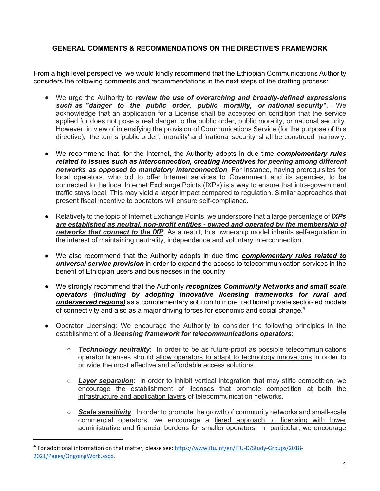### **GENERAL COMMENTS & RECOMMENDATIONS ON THE DIRECTIVE'S FRAMEWORK**

From a high level perspective, we would kindly recommend that the Ethiopian Communications Authority considers the following comments and recommendations in the next steps of the drafting process:

- We urge the Authority to *review the use of overarching and broadly-defined expressions such as "danger to the public order, public morality, or national security"*, . We acknowledge that an application for a License shall be accepted on condition that the service applied for does not pose a real danger to the public order, public morality, or national security. However, in view of intensifying the provision of Communications Service (for the purpose of this directive), the terms 'public order', 'morality' and 'national security' shall be construed narrowly.
- We recommend that, for the Internet, the Authority adopts in due time *complementary rules related to issues such as interconnection, creating incentives for peering among different networks as opposed to mandatory interconnection*. For instance, having prerequisites for local operators, who bid to offer Internet services to Government and its agencies, to be connected to the local Internet Exchange Points (IXPs) is a way to ensure that intra-government traffic stays local. This may yield a larger impact compared to regulation. Similar approaches that present fiscal incentive to operators will ensure self-compliance**.**
- Relatively to the topic of Internet Exchange Points, we underscore that a large percentage of *IXPs are established as neutral, non-profit entities - owned and operated by the membership of*  **networks that connect to the IXP**. As a result, this ownership model inherits self-regulation in the interest of maintaining neutrality, independence and voluntary interconnection.
- We also recommend that the Authority adopts in due time *complementary rules related to universal service provision* in order to expand the access to telecommunication services in the benefit of Ethiopian users and businesses in the country
- We strongly recommend that the Authority *recognizes Community Networks and small scale operators (including by adopting innovative licensing frameworks for rural and underserved regions)* as a complementary solution to more traditional private sector-led models of connectivity and also as a major driving forces for economic and social change. $4$
- Operator Licensing: We encourage the Authority to consider the following principles in the establishment of a *licensing framework for telecommunications operators*:
	- *Technology neutrality*: In order to be as future-proof as possible telecommunications operator licenses should allow operators to adapt to technology innovations in order to provide the most effective and affordable access solutions.
	- *Layer separation*: In order to inhibit vertical integration that may stifle competition, we encourage the establishment of licenses that promote competition at both the infrastructure and application layers of telecommunication networks.
	- *Scale sensitivity*: In order to promote the growth of community networks and small-scale commercial operators, we encourage a tiered approach to licensing with lower administrative and financial burdens for smaller operators. In particular, we encourage

 <sup>4</sup> For additional information on that matter, please see: https://www.itu.int/en/ITU-D/Study-Groups/2018- 2021/Pages/OngoingWork.aspx.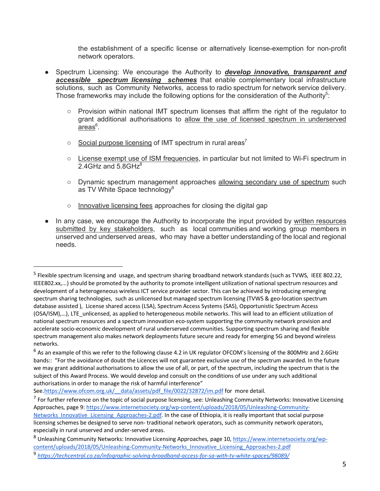the establishment of a specific license or alternatively license-exemption for non-profit network operators.

- Spectrum Licensing: We encourage the Authority to *develop innovative, transparent and accessible spectrum licensing schemes* that enable complementary local infrastructure solutions, such as Community Networks, access to radio spectrum for network service delivery. Those frameworks may include the following options for the consideration of the Authority<sup>5</sup>:
	- Provision within national IMT spectrum licenses that affirm the right of the regulator to grant additional authorisations to allow the use of licensed spectrum in underserved areas<sup>6</sup>.
	- $\circ$  Social purpose licensing of IMT spectrum in rural areas<sup>7</sup>
	- License exempt use of ISM frequencies, in particular but not limited to Wi-Fi spectrum in 2.4GHz and  $5.8$ GH $z<sup>8</sup>$
	- Dynamic spectrum management approaches allowing secondary use of spectrum such as TV White Space technology<sup>9</sup>
	- Innovative licensing fees approaches for closing the digital gap
- In any case, we encourage the Authority to incorporate the input provided by written resources submitted by key stakeholders, such as local communities and working group members in unserved and underserved areas, who may have a better understanding of the local and regional needs.

See.https://www.ofcom.org.uk/ data/assets/pdf file/0022/32872/im.pdf for more detail.

<sup>&</sup>lt;sup>5</sup> Flexible spectrum licensing and usage, and spectrum sharing broadband network standards (such as TVWS, IEEE 802.22, IEEE802.xx,...) should be promoted by the authority to promote intelligent utilization of national spectrum resources and development of a heterogeneous wireless ICT service provider sector. This can be achieved by introducing emerging spectrum sharing technologies, such as unlicensed but managed spectrum licensing (TVWS & geo-location spectrum database assisted ), License shared access (LSA), Spectrum Access Systems (SAS), Opportunistic Spectrum Access (OSA/ISM),…), LTE\_unlicensed, as applied to heterogeneous mobile networks. This will lead to an efficient utilization of national spectrum resources and a spectrum innovation eco-system supporting the community network provision and accelerate socio-economic development of rural underserved communities. Supporting spectrum sharing and flexible spectrum management also makes network deployments future secure and ready for emerging 5G and beyond wireless networks.

<sup>&</sup>lt;sup>6</sup> As an example of this we refer to the following clause 4.2 in UK regulator OFCOM's licensing of the 800MHz and 2.6GHz bands:: "For the avoidance of doubt the Licences will not guarantee exclusive use of the spectrum awarded. In the future we may grant additional authorisations to allow the use of all, or part, of the spectrum, including the spectrum that is the subject of this Award Process. We would develop and consult on the conditions of use under any such additional authorisations in order to manage the risk of harmful interference"

 $<sup>7</sup>$  For further reference on the topic of social purpose licensing, see: Unleashing Community Networks: Innovative Licensing</sup> Approaches, page 9: https://www.internetsociety.org/wp-content/uploads/2018/05/Unleashing-Community-Networks\_Innovative\_Licensing\_Approaches-2.pdf. In the case of Ethiopia, it is really important that social purpose licensing schemes be designed to serve non- traditional network operators, such as community network operators, especially in rural unserved and under-served areas.

<sup>8</sup> Unleashing Community Networks: Innovative Licensing Approaches, page 10, https://www.internetsociety.org/wpcontent/uploads/2018/05/Unleashing-Community-Networks\_Innovative\_Licensing\_Approaches-2.pdf

<sup>9</sup> *https://techcentral.co.za/infographic-solving-broadband-access-for-sa-with-tv-white-spaces/98089/*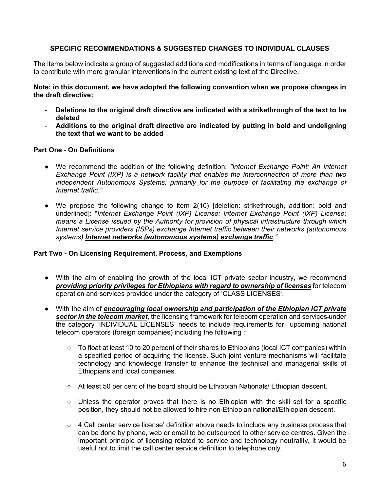#### **SPECIFIC RECOMMENDATIONS & SUGGESTED CHANGES TO INDIVIDUAL CLAUSES**

The items below indicate a group of suggested additions and modifications in terms of language in order to contribute with more granular interventions in the current existing text of the Directive.

**Note: in this document, we have adopted the following convention when we propose changes in the draft directive:**

- **Deletions to the original draft directive are indicated with a strikethrough of the text to be deleted**
- **Additions to the original draft directive are indicated by putting in bold and undeligning the text that we want to be added**

#### **Part One - On Definitions**

- We recommend the addition of the following definition: *"Internet Exchange Point: An Internet Exchange Point (IXP) is a network facility that enables the interconnection of more than two independent Autonomous Systems, primarily for the purpose of facilitating the exchange of Internet traffic."*
- We propose the following change to item 2(10) [deletion: strikethrough, addition: bold and underlined]: "*Internet Exchange Point (IXP) License: Internet Exchange Point (IXP) License: means a License issued by the Authority for provision of physical infrastructure through which Internet service providers (ISPs) exchange Internet traffic between their networks (autonomous systems) Internet networks (autonomous systems) exchange traffic."*

#### **Part Two - On Licensing Requirement, Process, and Exemptions**

- With the aim of enabling the growth of the local ICT private sector industry, we recommend *providing priority privileges for Ethiopians with regard to ownership of licenses* for telecom operation and services provided under the category of 'CLASS LICENSES'.
- With the aim of *encouraging local ownership and participation of the Ethiopian ICT private sector in the telecom market*, the licensing framework for telecom operation and services under the category 'INDIVIDUAL LICENSES' needs to include requirements for upcoming national telecom operators (foreign companies) including the following :
	- To float at least 10 to 20 percent of their shares to Ethiopians (local ICT companies) within a specified period of acquiring the license. Such joint venture mechanisms will facilitate technology and knowledge transfer to enhance the technical and managerial skills of Ethiopians and local companies.
	- At least 50 per cent of the board should be Ethiopian Nationals/ Ethiopian descent.
	- Unless the operator proves that there is no Ethiopian with the skill set for a specific position, they should not be allowed to hire non-Ethiopian national/Ethiopian descent.
	- 4 Call center service license' definition above needs to include any business process that can be done by phone, web or email to be outsourced to other service centres. Given the important principle of licensing related to service and technology neutrality, it would be useful not to limit the call center service definition to telephone only.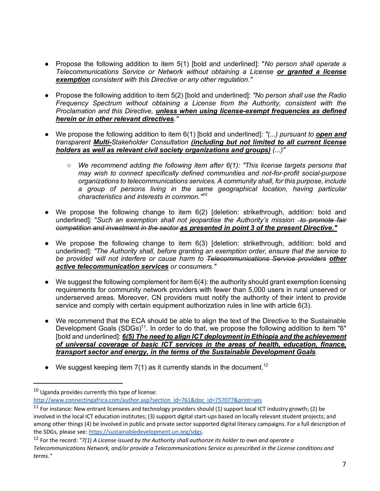- Propose the following addition to item 5(1) [bold and underlined]: "*No person shall operate a Telecommunications Service or Network without obtaining a License or granted a license exemption consistent with this Directive or any other regulation."*
- Propose the following addition to item 5(2) [bold and underlined]: *"No person shall use the Radio Frequency Spectrum without obtaining a License from the Authority, consistent with the Proclamation and this Directive, unless when using license-exempt frequencies as defined herein or in other relevant directives."*
- We propose the following addition to item 6(1) [bold and underlined]: *"(...) pursuant to open and transparent Multi-Stakeholder Consultation (including but not limited to all current license holders as well as relevant civil society organizations and groups) (...)"*
	- *We recommend adding the following item after 6(1): "This license targets persons that may wish to connect specifically defined communities and not-for-profit social-purpose organizations to telecommunications services. A community shall, for this purpose, include a group of persons living in the same geographical location, having particular characteristics and interests in common."10*
- We propose the following change to item 6(2) [deletion: strikethrough, addition: bold and underlined]: "Such an exemption shall not jeopardise the Authority's mission -to promote fair *competition and investment in the sector as presented in point 3 of the present Directive."*
- We propose the following change to item 6(3) [deletion: strikethrough, addition: bold and underlined]: *"The Authority shall, before granting an exemption order, ensure that the service to be provided will not interfere or cause harm to Telecommunications Service providers other active telecommunication services or consumers."*
- $\bullet$  We suggest the following complement for item 6(4): the authority should grant exemption licensing requirements for community network providers with fewer than 5,000 users in rural unserved or underserved areas. Moreover, CN providers must notify the authority of their intent to provide service and comply with certain equipment authorization rules in line with article 6(3).
- We recommend that the ECA should be able to align the text of the Directive to the Sustainable Development Goals (SDGs)<sup>11</sup>. In order to do that, we propose the following addition to item "6" [bold and underlined]: 6(5) The need to align ICT deployment in Ethiopia and the achievement *of universal coverage of basic ICT services in the areas of health, education, finance, transport sector and energy, in the terms of the Sustainable Development Goals.*
- We suggest keeping item  $7(1)$  as it currently stands in the document.<sup>12</sup>

 $10$  Uganda provides currently this type of license:

http://www.connectingafrica.com/author.asp?section\_id=761&doc\_id=757077&print=yes

 $11$  For instance: New entrant licensees and technology providers should (1) support local ICT industry growth; (2) be involved in the local ICT education institutes; (3) support digital start-ups based on locally relevant student projects; and among other things (4) be involved in public and private sector supported digital literacy campaigns. For a full description of the SDGs, please see: https://sustainabledevelopment.un.org/sdgs.<br><sup>12</sup> For the record: "7(1) A License issued by the Authority shall authorize its holder to own and operate a

*Telecommunications Network, and/or provide a Telecommunications Service as prescribed in the License conditions and terms."*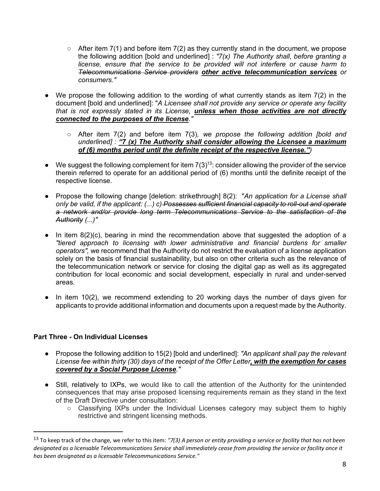- $\circ$  After item 7(1) and before item 7(2) as they currently stand in the document, we propose the following addition [bold and underlined] : *"7(x) The Authority shall, before granting a license, ensure that the service to be provided will not interfere or cause harm to Telecommunications Service providers other active telecommunication services or consumers."*
- We propose the following addition to the wording of what currently stands as item 7(2) in the document [bold and underlined]: "*A Licensee shall not provide any service or operate any facility that is not expressly stated in its License, unless when those activities are not directly connected to the purposes of the license."*
	- After item 7(2) and before item 7(3)*, we propose the following addition [bold and underlined] : "7 (x) The Authority shall consider allowing the Licensee a maximum of (6) months period until the definite receipt of the respective license.")*
- $\bullet$  We suggest the following complement for item 7(3)<sup>13</sup>: consider allowing the provider of the service therein referred to operate for an additional period of (6) months until the definite receipt of the respective license.
- Propose the following change [deletion: strikethrough] 8(2): "*An application for a License shall only be valid, if the applicant: (...) c) Possesses sufficient financial capacity to roll-out and operate a network and/or provide long term Telecommunications Service to the satisfaction of the Authority (...)"*
- In item 8(2)(c), bearing in mind the recommendation above that suggested the adoption of a *"tiered approach to licensing with lower administrative and financial burdens for smaller operators",* we recommend that the Authority do not restrict the evaluation of a license application solely on the basis of financial sustainability, but also on other criteria such as the relevance of the telecommunication network or service for closing the digital gap as well as its aggregated contribution for local economic and social development, especially in rural and under-served areas.
- In item 10(2), we recommend extending to 20 working days the number of days given for applicants to provide additional information and documents upon a request made by the Authority.

#### **Part Three - On Individual Licenses**

- Propose the following addition to 15(2) [bold and underlined]: *"An applicant shall pay the relevant License fee within thirty (30) days of the receipt of the Offer Letter, with the exemption for cases covered by a Social Purpose License."*
- Still, relatively to IXPs, we would like to call the attention of the Authority for the unintended consequences that may arise proposed licensing requirements remain as they stand in the text of the Draft Directive under consultation:
	- Classifying IXPs under the Individual Licenses category may subject them to highly restrictive and stringent licensing methods.

 <sup>13</sup> To keep track of the change, we refer to this item: *"7(3) A person or entity providing a service or facility that has not been designated as a licensable Telecommunications Service shall immediately cease from providing the service or facility once it has been designated as a licensable Telecommunications Service."*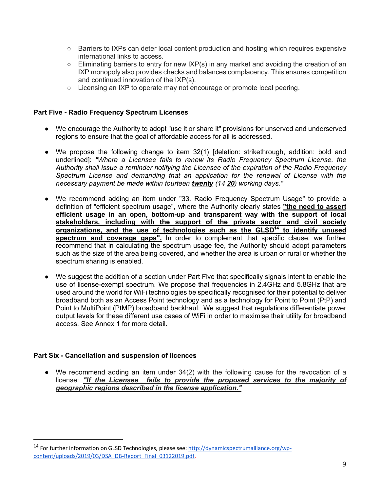- Barriers to IXPs can deter local content production and hosting which requires expensive international links to access.
- Eliminating barriers to entry for new IXP(s) in any market and avoiding the creation of an IXP monopoly also provides checks and balances complacency. This ensures competition and continued innovation of the IXP(s).
- Licensing an IXP to operate may not encourage or promote local peering.

#### **Part Five - Radio Frequency Spectrum Licenses**

- We encourage the Authority to adopt "use it or share it" provisions for unserved and underserved regions to ensure that the goal of affordable access for all is addressed.
- We propose the following change to item 32(1) [deletion: strikethrough, addition: bold and underlined]: *"Where a Licensee fails to renew its Radio Frequency Spectrum License, the Authority shall issue a reminder notifying the Licensee of the expiration of the Radio Frequency Spectrum License and demanding that an application for the renewal of License with the necessary payment be made within fourteen twenty (14 20) working days."*
- We recommend adding an item under "33. Radio Frequency Spectrum Usage" to provide a definition of "efficient spectrum usage", where the Authority clearly states **"the need to assert efficient usage in an open, bottom-up and transparent way with the support of local stakeholders, including with the support of the private sector and civil society organizations, and the use of technologies such as the GLSD14 to identify unused spectrum and coverage gaps".** In order to complement that specific clause, we further recommend that in calculating the spectrum usage fee, the Authority should adopt parameters such as the size of the area being covered, and whether the area is urban or rural or whether the spectrum sharing is enabled.
- We suggest the addition of a section under Part Five that specifically signals intent to enable the use of license-exempt spectrum. We propose that frequencies in 2.4GHz and 5.8GHz that are used around the world for WiFi technologies be specifically recognised for their potential to deliver broadband both as an Access Point technology and as a technology for Point to Point (PtP) and Point to MultiPoint (PtMP) broadband backhaul. We suggest that regulations differentiate power output levels for these different use cases of WiFi in order to maximise their utility for broadband access. See Annex 1 for more detail.

#### **Part Six - Cancellation and suspension of licences**

● We recommend adding an item under 34(2) with the following cause for the revocation of a license: *"If the Licensee fails to provide the proposed services to the majority of geographic regions described in the license application."*

 <sup>14</sup> For further information on GLSD Technologies, please see: http://dynamicspectrumalliance.org/wpcontent/uploads/2019/03/DSA\_DB-Report\_Final\_03122019.pdf.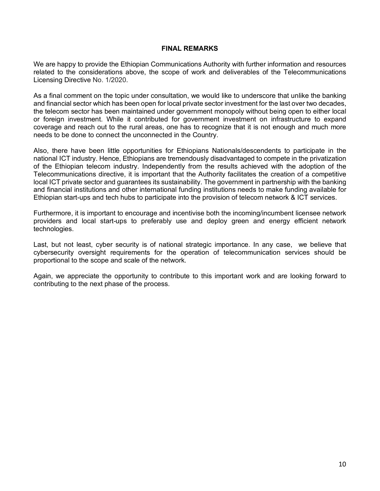#### **FINAL REMARKS**

We are happy to provide the Ethiopian Communications Authority with further information and resources related to the considerations above, the scope of work and deliverables of the Telecommunications Licensing Directive No. 1/2020.

As a final comment on the topic under consultation, we would like to underscore that unlike the banking and financial sector which has been open for local private sector investment for the last over two decades, the telecom sector has been maintained under government monopoly without being open to either local or foreign investment. While it contributed for government investment on infrastructure to expand coverage and reach out to the rural areas, one has to recognize that it is not enough and much more needs to be done to connect the unconnected in the Country.

Also, there have been little opportunities for Ethiopians Nationals/descendents to participate in the national ICT industry. Hence, Ethiopians are tremendously disadvantaged to compete in the privatization of the Ethiopian telecom industry. Independently from the results achieved with the adoption of the Telecommunications directive, it is important that the Authority facilitates the creation of a competitive local ICT private sector and guarantees its sustainability. The government in partnership with the banking and financial institutions and other international funding institutions needs to make funding available for Ethiopian start-ups and tech hubs to participate into the provision of telecom network & ICT services.

Furthermore, it is important to encourage and incentivise both the incoming/incumbent licensee network providers and local start-ups to preferably use and deploy green and energy efficient network technologies.

Last, but not least, cyber security is of national strategic importance. In any case, we believe that cybersecurity oversight requirements for the operation of telecommunication services should be proportional to the scope and scale of the network.

Again, we appreciate the opportunity to contribute to this important work and are looking forward to contributing to the next phase of the process.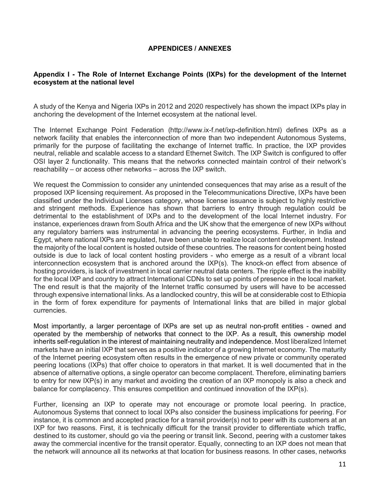#### **APPENDICES / ANNEXES**

#### **Appendix I - The Role of Internet Exchange Points (IXPs) for the development of the Internet ecosystem at the national level**

A study of the Kenya and Nigeria IXPs in 2012 and 2020 respectively has shown the impact IXPs play in anchoring the development of the Internet ecosystem at the national level.

The Internet Exchange Point Federation (http://www.ix-f.net/ixp-definition.html) defines IXPs as a network facility that enables the interconnection of more than two independent Autonomous Systems, primarily for the purpose of facilitating the exchange of Internet traffic. In practice, the IXP provides neutral, reliable and scalable access to a standard Ethernet Switch. The IXP Switch is configured to offer OSI layer 2 functionality. This means that the networks connected maintain control of their network's reachability – or access other networks – across the IXP switch.

We request the Commission to consider any unintended consequences that may arise as a result of the proposed IXP licensing requirement. As proposed in the Telecommunications Directive, IXPs have been classified under the Individual Licenses category, whose license issuance is subject to highly restrictive and stringent methods. Experience has shown that barriers to entry through regulation could be detrimental to the establishment of IXPs and to the development of the local Internet industry. For instance, experiences drawn from South Africa and the UK show that the emergence of new IXPs without any regulatory barriers was instrumental in advancing the peering ecosystems. Further, in India and Egypt, where national IXPs are regulated, have been unable to realize local content development. Instead the majority of the local content is hosted outside of these countries. The reasons for content being hosted outside is due to lack of local content hosting providers - who emerge as a result of a vibrant local interconnection ecosystem that is anchored around the IXP(s). The knock-on effect from absence of hosting providers, is lack of investment in local carrier neutral data centers. The ripple effect is the inability for the local IXP and country to attract International CDNs to set up points of presence in the local market. The end result is that the majority of the Internet traffic consumed by users will have to be accessed through expensive international links. As a landlocked country, this will be at considerable cost to Ethiopia in the form of forex expenditure for payments of International links that are billed in major global currencies.

Most importantly, a larger percentage of IXPs are set up as neutral non-profit entities - owned and operated by the membership of networks that connect to the IXP. As a result, this ownership model inherits self-regulation in the interest of maintaining neutrality and independence. Most liberalized Internet markets have an initial IXP that serves as a positive indicator of a growing Internet economy. The maturity of the Internet peering ecosystem often results in the emergence of new private or community operated peering locations (IXPs) that offer choice to operators in that market. It is well documented that in the absence of alternative options, a single operator can become complacent. Therefore, eliminating barriers to entry for new IXP(s) in any market and avoiding the creation of an IXP monopoly is also a check and balance for complacency. This ensures competition and continued innovation of the IXP(s).

Further, licensing an IXP to operate may not encourage or promote local peering. In practice, Autonomous Systems that connect to local IXPs also consider the business implications for peering. For instance, it is common and accepted practice for a transit provider(s) not to peer with its customers at an IXP for two reasons. First, it is technically difficult for the transit provider to differentiate which traffic, destined to its customer, should go via the peering or transit link. Second, peering with a customer takes away the commercial incentive for the transit operator. Equally, connecting to an IXP does not mean that the network will announce all its networks at that location for business reasons. In other cases, networks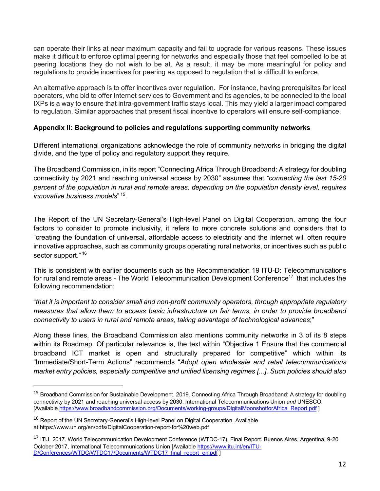can operate their links at near maximum capacity and fail to upgrade for various reasons. These issues make it difficult to enforce optimal peering for networks and especially those that feel compelled to be at peering locations they do not wish to be at. As a result, it may be more meaningful for policy and regulations to provide incentives for peering as opposed to regulation that is difficult to enforce.

An alternative approach is to offer incentives over regulation. For instance, having prerequisites for local operators, who bid to offer Internet services to Government and its agencies, to be connected to the local IXPs is a way to ensure that intra-government traffic stays local. This may yield a larger impact compared to regulation. Similar approaches that present fiscal incentive to operators will ensure self-compliance.

#### **Appendix II: Background to policies and regulations supporting community networks**

Different international organizations acknowledge the role of community networks in bridging the digital divide, and the type of policy and regulatory support they require.

The Broadband Commission, in its report "Connecting Africa Through Broadband: A strategy for doubling connectivity by 2021 and reaching universal access by 2030" assumes that *"connecting the last 15-20 percent of the population in rural and remote areas, depending on the population density level, requires innovative business models*" 15.

The Report of the UN Secretary-General's High-level Panel on Digital Cooperation, among the four factors to consider to promote inclusivity, it refers to more concrete solutions and considers that to "creating the foundation of universal, affordable access to electricity and the internet will often require innovative approaches, such as community groups operating rural networks, or incentives such as public sector support."<sup>16</sup>

This is consistent with earlier documents such as the Recommendation 19 ITU-D: Telecommunications for rural and remote areas - The World Telecommunication Development Conference<sup>17</sup> that includes the following recommendation:

"*that it is important to consider small and non-profit community operators, through appropriate regulatory measures that allow them to access basic infrastructure on fair terms, in order to provide broadband connectivity to users in rural and remote areas, taking advantage of technological advances*;"

Along these lines, the Broadband Commission also mentions community networks in 3 of its 8 steps within its Roadmap. Of particular relevance is, the text within "Objective 1 Ensure that the commercial broadband ICT market is open and structurally prepared for competitive" which within its "Immediate/Short-Term Actions" recommends "*Adopt open wholesale and retail telecommunications market entry policies, especially competitive and unified licensing regimes [...]. Such policies should also* 

<sup>&</sup>lt;sup>15</sup> Broadband Commission for Sustainable Development. 2019. Connecting Africa Through Broadband: A strategy for doubling connectivity by 2021 and reaching universal access by 2030. International Telecommunications Union *and* UNESCO. [Available https://www.broadbandcommission.org/Documents/working-groups/DigitalMoonshotforAfrica\_Report.pdf ]

<sup>&</sup>lt;sup>16</sup> Report of the UN Secretary-General's High-level Panel on Digital Cooperation. Available at:https://www.un.org/en/pdfs/DigitalCooperation-report-for%20web.pdf

<sup>&</sup>lt;sup>17</sup> ITU. 2017. World Telecommunication Development Conference (WTDC-17), Final Report. Buenos Aires, Argentina, 9-20 October 2017, International Telecommunications Union [Available https://www.itu.int/en/ITU-D/Conferences/WTDC/WTDC17/Documents/WTDC17\_final\_report\_en.pdf ]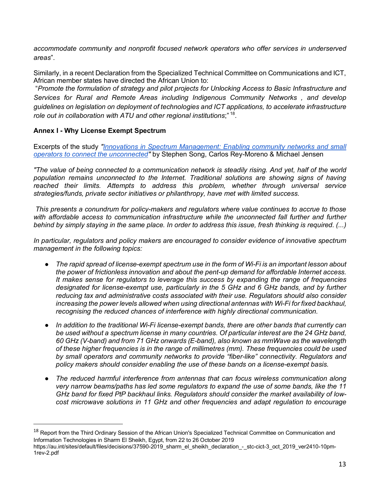*accommodate community and nonprofit focused network operators who offer services in underserved areas*".

Similarly, in a recent Declaration from the Specialized Technical Committee on Communications and ICT, African member states have directed the African Union to:

"*Promote the formulation of strategy and pilot projects for Unlocking Access to Basic Infrastructure and Services for Rural and Remote Areas including Indigenous Community Networks , and develop guidelines on legislation on deployment of technologies and ICT applications, to accelerate infrastructure role out in collaboration with ATU and other regional institutions*;" 18.

#### **Annex I - Why License Exempt Spectrum**

Excerpts of the study *"Innovations in Spectrum Management: Enabling community networks and small operators to connect the unconnected"* by Stephen Song, Carlos Rey-Moreno & Michael Jensen

*"The value of being connected to a communication network is steadily rising. And yet, half of the world population remains unconnected to the Internet. Traditional solutions are showing signs of having reached their limits. Attempts to address this problem, whether through universal service strategies/funds, private sector initiatives or philanthropy, have met with limited success.*

*This presents a conundrum for policy-makers and regulators where value continues to accrue to those*  with affordable access to communication infrastructure while the unconnected fall further and further *behind by simply staying in the same place. In order to address this issue, fresh thinking is required. (...)*

*In particular, regulators and policy makers are encouraged to consider evidence of innovative spectrum management in the following topics:*

- *The rapid spread of license-exempt spectrum use in the form of Wi-Fi is an important lesson about the power of frictionless innovation and about the pent-up demand for affordable Internet access. It makes sense for regulators to leverage this success by expanding the range of frequencies designated for license-exempt use, particularly in the 5 GHz and 6 GHz bands, and by further reducing tax and administrative costs associated with their use. Regulators should also consider increasing the power levels allowed when using directional antennas with Wi-Fi for fixed backhaul, recognising the reduced chances of interference with highly directional communication.*
- *In addition to the traditional Wi-Fi license-exempt bands, there are other bands that currently can*  be used without a spectrum license in many countries. Of particular interest are the 24 GHz band, *60 GHz (V-band) and from 71 GHz onwards (E-band), also known as mmWave as the wavelength of these higher frequencies is in the range of millimetres (mm). These frequencies could be used by small operators and community networks to provide "fiber-like" connectivity. Regulators and policy makers should consider enabling the use of these bands on a license-exempt basis.*
- *The reduced harmful interference from antennas that can focus wireless communication along very narrow beams/paths has led some regulators to expand the use of some bands, like the 11 GHz band for fixed PtP backhaul links. Regulators should consider the market availability of lowcost microwave solutions in 11 GHz and other frequencies and adapt regulation to encourage*

<sup>&</sup>lt;sup>18</sup> Report from the Third Ordinary Session of the African Union's Specialized Technical Committee on Communication and Information Technologies in Sharm El Sheikh, Egypt, from 22 to 26 October 2019

https://au.int/sites/default/files/decisions/37590-2019\_sharm\_el\_sheikh\_declaration\_-\_stc-cict-3\_oct\_2019\_ver2410-10pm-1rev-2.pdf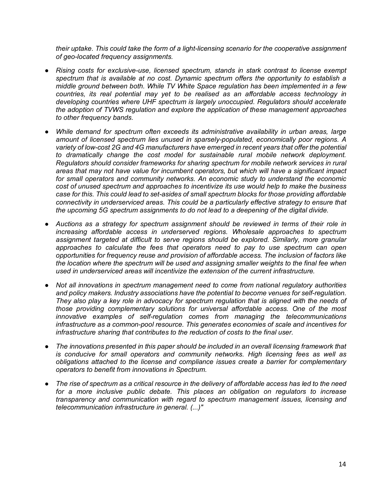*their uptake. This could take the form of a light-licensing scenario for the cooperative assignment of geo-located frequency assignments.*

- *Rising costs for exclusive-use, licensed spectrum, stands in stark contrast to license exempt spectrum that is available at no cost. Dynamic spectrum offers the opportunity to establish a middle ground between both. While TV White Space regulation has been implemented in a few countries, its real potential may yet to be realised as an affordable access technology in developing countries where UHF spectrum is largely unoccupied. Regulators should accelerate the adoption of TVWS regulation and explore the application of these management approaches to other frequency bands.*
- While demand for spectrum often exceeds its administrative availability in urban areas, large *amount of licensed spectrum lies unused in sparsely-populated, economically poor regions. A variety of low-cost 2G and 4G manufacturers have emerged in recent years that offer the potential to dramatically change the cost model for sustainable rural mobile network deployment. Regulators should consider frameworks for sharing spectrum for mobile network services in rural areas that may not have value for incumbent operators, but which will have a significant impact for small operators and community networks. An economic study to understand the economic cost of unused spectrum and approaches to incentivize its use would help to make the business case for this. This could lead to set-asides of small spectrum blocks for those providing affordable connectivity in underserviced areas. This could be a particularly effective strategy to ensure that the upcoming 5G spectrum assignments to do not lead to a deepening of the digital divide.*
- *Auctions as a strategy for spectrum assignment should be reviewed in terms of their role in increasing affordable access in underserved regions. Wholesale approaches to spectrum assignment targeted at difficult to serve regions should be explored. Similarly, more granular approaches to calculate the fees that operators need to pay to use spectrum can open opportunities for frequency reuse and provision of affordable access. The inclusion of factors like the location where the spectrum will be used and assigning smaller weights to the final fee when used in underserviced areas will incentivize the extension of the current infrastructure.*
- *Not all innovations in spectrum management need to come from national regulatory authorities and policy makers. Industry associations have the potential to become venues for self-regulation. They also play a key role in advocacy for spectrum regulation that is aligned with the needs of those providing complementary solutions for universal affordable access. One of the most innovative examples of self-regulation comes from managing the telecommunications infrastructure as a common-pool resource. This generates economies of scale and incentives for infrastructure sharing that contributes to the reduction of costs to the final user.*
- *The innovations presented in this paper should be included in an overall licensing framework that is conducive for small operators and community networks. High licensing fees as well as obligations attached to the license and compliance issues create a barrier for complementary operators to benefit from innovations in Spectrum.*
- *The rise of spectrum as a critical resource in the delivery of affordable access has led to the need for a more inclusive public debate. This places an obligation on regulators to increase transparency and communication with regard to spectrum management issues, licensing and telecommunication infrastructure in general. (...)"*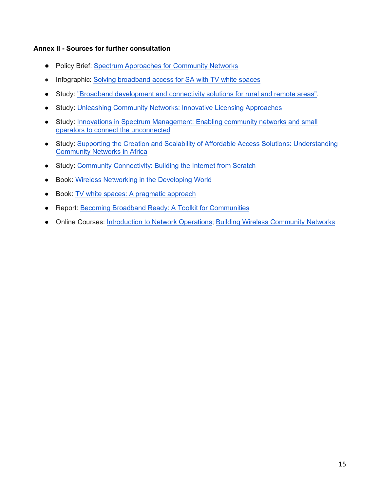#### **Annex II - Sources for further consultation**

- Policy Brief: Spectrum Approaches for Community Networks
- Infographic: Solving broadband access for SA with TV white spaces
- Study: "Broadband development and connectivity solutions for rural and remote areas".
- Study: Unleashing Community Networks: Innovative Licensing Approaches
- Study: Innovations in Spectrum Management: Enabling community networks and small operators to connect the unconnected
- Study: Supporting the Creation and Scalability of Affordable Access Solutions: Understanding Community Networks in Africa
- Study: Community Connectivity: Building the Internet from Scratch
- Book: Wireless Networking in the Developing World
- Book: TV white spaces: A pragmatic approach
- Report: Becoming Broadband Ready: A Toolkit for Communities
- Online Courses: Introduction to Network Operations; Building Wireless Community Networks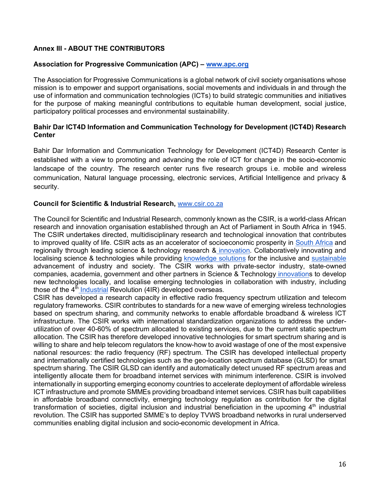#### **Annex III - ABOUT THE CONTRIBUTORS**

#### **Association for Progressive Communication (APC) – www.apc.org**

The Association for Progressive Communications is a global network of civil society organisations whose mission is to empower and support organisations, social movements and individuals in and through the use of information and communication technologies (ICTs) to build strategic communities and initiatives for the purpose of making meaningful contributions to equitable human development, social justice, participatory political processes and environmental sustainability.

#### **Bahir Dar ICT4D Information and Communication Technology for Development (ICT4D) Research Center**

Bahir Dar Information and Communication Technology for Development (ICT4D) Research Center is established with a view to promoting and advancing the role of ICT for change in the socio-economic landscape of the country. The research center runs five research groups i.e. mobile and wireless communication, Natural language processing, electronic services, Artificial Intelligence and privacy & security.

#### **Council for Scientific & Industrial Research,** www.csir.co.za

The Council for Scientific and Industrial Research, commonly known as the CSIR, is a world-class African research and innovation organisation established through an Act of Parliament in South Africa in 1945. The CSIR undertakes directed, multidisciplinary research and technological innovation that contributes to improved quality of life. CSIR acts as an accelerator of socioeconomic prosperity in South Africa and regionally through leading science & technology research & innovation. Collaboratively innovating and localising science & technologies while providing knowledge solutions for the inclusive and sustainable advancement of industry and society. The CSIR works with private-sector industry, state-owned companies, academia, government and other partners in Science & Technology innovations to develop new technologies locally, and localise emerging technologies in collaboration with industry, including those of the 4<sup>th</sup> Industrial Revolution (4IR) developed overseas.

CSIR has developed a research capacity in effective radio frequency spectrum utilization and telecom regulatory frameworks. CSIR contributes to standards for a new wave of emerging wireless technologies based on spectrum sharing, and community networks to enable affordable broadband & wireless ICT infrastructure. The CSIR works with international standardization organizations to address the underutilization of over 40-60% of spectrum allocated to existing services, due to the current static spectrum allocation. The CSIR has therefore developed innovative technologies for smart spectrum sharing and is willing to share and help telecom regulators the know-how to avoid wastage of one of the most expensive national resources: the radio frequency (RF) spectrum. The CSIR has developed intellectual property and internationally certified technologies such as the geo-location spectrum database (GLSD) for smart spectrum sharing. The CSIR GLSD can identify and automatically detect unused RF spectrum areas and intelligently allocate them for broadband internet services with minimum interference. CSIR is involved internationally in supporting emerging economy countries to accelerate deployment of affordable wireless ICT infrastructure and promote SMMEs providing broadband internet services. CSIR has built capabilities in affordable broadband connectivity, emerging technology regulation as contribution for the digital transformation of societies, digital inclusion and industrial beneficiation in the upcoming  $4<sup>th</sup>$  industrial revolution. The CSIR has supported SMME's to deploy TVWS broadband networks in rural underserved communities enabling digital inclusion and socio-economic development in Africa.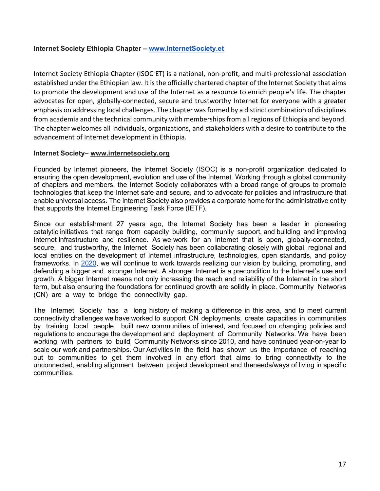#### **Internet Society Ethiopia Chapter – www.InternetSociety.et**

Internet Society Ethiopia Chapter (ISOC ET) is a national, non-profit, and multi-professional association established under the Ethiopian law. It is the officially chartered chapter of the Internet Society that aims to promote the development and use of the Internet as a resource to enrich people's life. The chapter advocates for open, globally-connected, secure and trustworthy Internet for everyone with a greater emphasis on addressing local challenges. The chapter was formed by a distinct combination of disciplines from academia and the technical community with memberships from all regions of Ethiopia and beyond. The chapter welcomes all individuals, organizations, and stakeholders with a desire to contribute to the advancement of Internet development in Ethiopia.

#### **Internet Society– www.internetsociety.org**

Founded by Internet pioneers, the Internet Society (ISOC) is a non-profit organization dedicated to ensuring the open development, evolution and use of the Internet. Working through a global community of chapters and members, the Internet Society collaborates with a broad range of groups to promote technologies that keep the Internet safe and secure, and to advocate for policies and infrastructure that enable universal access. The Internet Society also provides a corporate home for the administrative entity that supports the Internet Engineering Task Force (IETF).

Since our establishment 27 years ago, the Internet Society has been a leader in pioneering catalytic initiatives that range from capacity building, community support, and building and improving Internet infrastructure and resilience. As we work for an Internet that is open, globally-connected, secure, and trustworthy, the Internet Society has been collaborating closely with global, regional and local entities on the development of Internet infrastructure, technologies, open standards, and policy frameworks. In 2020, we will continue to work towards realizing our vision by building, promoting, and defending a bigger and stronger Internet. A stronger Internet is a precondition to the Internet's use and growth. A bigger Internet means not only increasing the reach and reliability of the Internet in the short term, but also ensuring the foundations for continued growth are solidly in place. Community Networks (CN) are a way to bridge the connectivity gap.

The Internet Society has a long history of making a difference in this area, and to meet current connectivity challenges we have worked to support CN deployments, create capacities in communities by training local people, built new communities of interest, and focused on changing policies and regulations to encourage the development and deployment of Community Networks. We have been working with partners to build Community Networks since 2010, and have continued year-on-year to scale our work and partnerships. Our Activities In the field has shown us the importance of reaching out to communities to get them involved in any effort that aims to bring connectivity to the unconnected, enabling alignment between project development and theneeds/ways of living in specific communities.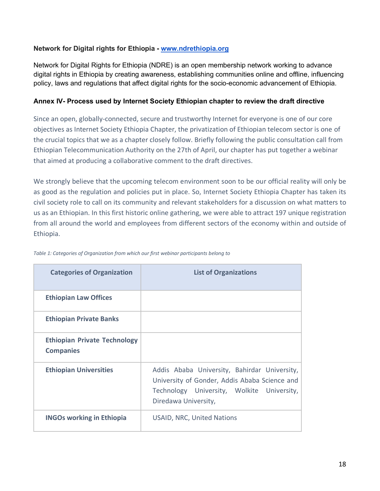#### **Network for Digital rights for Ethiopia - www.ndrethiopia.org**

Network for Digital Rights for Ethiopia (NDRE) is an open membership network working to advance digital rights in Ethiopia by creating awareness, establishing communities online and offline, influencing policy, laws and regulations that affect digital rights for the socio-economic advancement of Ethiopia.

#### **Annex IV- Process used by Internet Society Ethiopian chapter to review the draft directive**

Since an open, globally-connected, secure and trustworthy Internet for everyone is one of our core objectives as Internet Society Ethiopia Chapter, the privatization of Ethiopian telecom sector is one of the crucial topics that we as a chapter closely follow. Briefly following the public consultation call from Ethiopian Telecommunication Authority on the 27th of April, our chapter has put together a webinar that aimed at producing a collaborative comment to the draft directives.

We strongly believe that the upcoming telecom environment soon to be our official reality will only be as good as the regulation and policies put in place. So, Internet Society Ethiopia Chapter has taken its civil society role to call on its community and relevant stakeholders for a discussion on what matters to us as an Ethiopian. In this first historic online gathering, we were able to attract 197 unique registration from all around the world and employees from different sectors of the economy within and outside of Ethiopia.

| <b>Categories of Organization</b>                       | <b>List of Organizations</b>                                                                                                                                        |
|---------------------------------------------------------|---------------------------------------------------------------------------------------------------------------------------------------------------------------------|
| <b>Ethiopian Law Offices</b>                            |                                                                                                                                                                     |
| <b>Ethiopian Private Banks</b>                          |                                                                                                                                                                     |
| <b>Ethiopian Private Technology</b><br><b>Companies</b> |                                                                                                                                                                     |
| <b>Ethiopian Universities</b>                           | Addis Ababa University, Bahirdar University,<br>University of Gonder, Addis Ababa Science and<br>Technology University, Wolkite University,<br>Diredawa University, |
| <b>INGOs working in Ethiopia</b>                        | <b>USAID, NRC, United Nations</b>                                                                                                                                   |

*Table 1: Categories of Organization from which our first webinar participants belong to*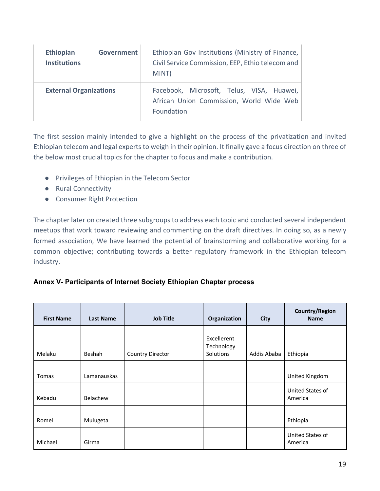| <b>Ethiopian</b><br><b>Institutions</b> | Government | Ethiopian Gov Institutions (Ministry of Finance,<br>Civil Service Commission, EEP, Ethio telecom and<br>MINT) |
|-----------------------------------------|------------|---------------------------------------------------------------------------------------------------------------|
| <b>External Organizations</b>           |            | Facebook, Microsoft, Telus, VISA, Huawei,<br>African Union Commission, World Wide Web<br>Foundation           |

The first session mainly intended to give a highlight on the process of the privatization and invited Ethiopian telecom and legal experts to weigh in their opinion. It finally gave a focus direction on three of the below most crucial topics for the chapter to focus and make a contribution.

- Privileges of Ethiopian in the Telecom Sector
- Rural Connectivity
- Consumer Right Protection

The chapter later on created three subgroups to address each topic and conducted several independent meetups that work toward reviewing and commenting on the draft directives. In doing so, as a newly formed association, We have learned the potential of brainstorming and collaborative working for a common objective; contributing towards a better regulatory framework in the Ethiopian telecom industry.

#### **Annex V- Participants of Internet Society Ethiopian Chapter process**

| <b>First Name</b> | <b>Last Name</b> | <b>Job Title</b> | Organization                           | <b>City</b> | <b>Country/Region</b><br><b>Name</b> |
|-------------------|------------------|------------------|----------------------------------------|-------------|--------------------------------------|
| Melaku            | Beshah           | Country Director | Excellerent<br>Technology<br>Solutions | Addis Ababa | Ethiopia                             |
| Tomas             | Lamanauskas      |                  |                                        |             | United Kingdom                       |
| Kebadu            | Belachew         |                  |                                        |             | United States of<br>America          |
| Romel             | Mulugeta         |                  |                                        |             | Ethiopia                             |
| Michael           | Girma            |                  |                                        |             | United States of<br>America          |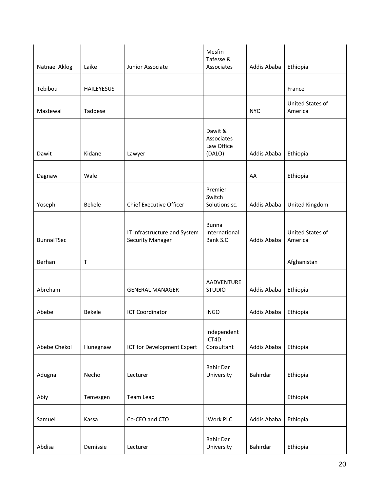|               |                   |                                                         | Mesfin<br>Tafesse &                           |             |                             |
|---------------|-------------------|---------------------------------------------------------|-----------------------------------------------|-------------|-----------------------------|
| Natnael Aklog | Laike             | Junior Associate                                        | Associates                                    | Addis Ababa | Ethiopia                    |
| Tebibou       | <b>HAILEYESUS</b> |                                                         |                                               |             | France                      |
| Mastewal      | Taddese           |                                                         |                                               | <b>NYC</b>  | United States of<br>America |
| Dawit         | Kidane            | Lawyer                                                  | Dawit &<br>Associates<br>Law Office<br>(DALO) | Addis Ababa | Ethiopia                    |
| Dagnaw        | Wale              |                                                         |                                               | AA          | Ethiopia                    |
| Yoseph        | Bekele            | <b>Chief Executive Officer</b>                          | Premier<br>Switch<br>Solutions sc.            | Addis Ababa | United Kingdom              |
| BunnaITSec    |                   | IT Infrastructure and System<br><b>Security Manager</b> | <b>Bunna</b><br>International<br>Bank S.C     | Addis Ababa | United States of<br>America |
| Berhan        | $\mathsf{T}$      |                                                         |                                               |             | Afghanistan                 |
| Abreham       |                   | <b>GENERAL MANAGER</b>                                  | AADVENTURE<br><b>STUDIO</b>                   | Addis Ababa | Ethiopia                    |
| Abebe         | <b>Bekele</b>     | <b>ICT Coordinator</b>                                  | <b>iNGO</b>                                   | Addis Ababa | Ethiopia                    |
| Abebe Chekol  | Hunegnaw          | ICT for Development Expert                              | Independent<br>ICT4D<br>Consultant            | Addis Ababa | Ethiopia                    |
| Adugna        | Necho             | Lecturer                                                | <b>Bahir Dar</b><br>University                | Bahirdar    | Ethiopia                    |
| Abiy          | Temesgen          | Team Lead                                               |                                               |             | Ethiopia                    |
| Samuel        | Kassa             | Co-CEO and CTO                                          | iWork PLC                                     | Addis Ababa | Ethiopia                    |
| Abdisa        | Demissie          | Lecturer                                                | <b>Bahir Dar</b><br>University                | Bahirdar    | Ethiopia                    |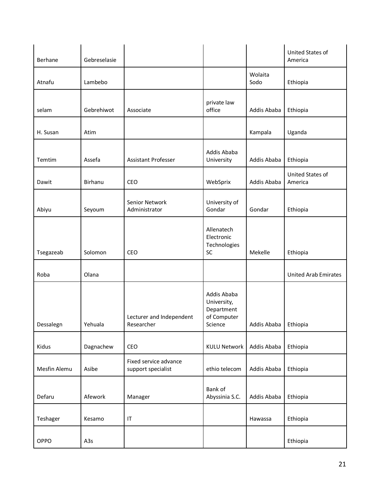| Berhane      | Gebreselasie |                                             |                                                                    |                 | United States of<br>America |
|--------------|--------------|---------------------------------------------|--------------------------------------------------------------------|-----------------|-----------------------------|
| Atnafu       | Lambebo      |                                             |                                                                    | Wolaita<br>Sodo | Ethiopia                    |
| selam        | Gebrehiwot   | Associate                                   | private law<br>office                                              | Addis Ababa     | Ethiopia                    |
| H. Susan     | Atim         |                                             |                                                                    | Kampala         | Uganda                      |
| Temtim       | Assefa       | Assistant Professer                         | Addis Ababa<br>University                                          | Addis Ababa     | Ethiopia                    |
| Dawit        | Birhanu      | CEO                                         | WebSprix                                                           | Addis Ababa     | United States of<br>America |
| Abiyu        | Seyoum       | Senior Network<br>Administrator             | University of<br>Gondar                                            | Gondar          | Ethiopia                    |
| Tsegazeab    | Solomon      | <b>CEO</b>                                  | Allenatech<br>Electronic<br>Technologies<br>SC                     | Mekelle         | Ethiopia                    |
| Roba         | Olana        |                                             |                                                                    |                 | <b>United Arab Emirates</b> |
| Dessalegn    | Yehuala      | Lecturer and Independent<br>Researcher      | Addis Ababa<br>University,<br>Department<br>of Computer<br>Science | Addis Ababa     | Ethiopia                    |
| Kidus        | Dagnachew    | CEO                                         | <b>KULU Network</b>                                                | Addis Ababa     | Ethiopia                    |
| Mesfin Alemu | Asibe        | Fixed service advance<br>support specialist | ethio telecom                                                      | Addis Ababa     | Ethiopia                    |
| Defaru       | Afework      | Manager                                     | Bank of<br>Abyssinia S.C.                                          | Addis Ababa     | Ethiopia                    |
| Teshager     | Kesamo       | $\sf IT$                                    |                                                                    | Hawassa         | Ethiopia                    |
| OPPO         | A3s          |                                             |                                                                    |                 | Ethiopia                    |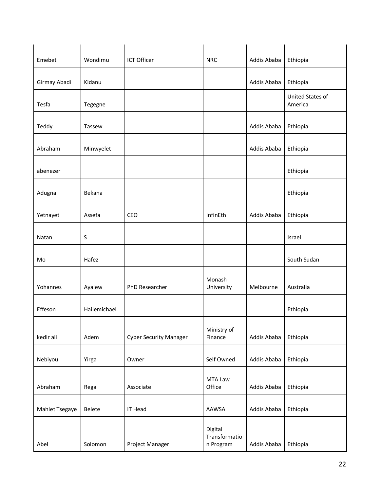| Emebet         | Wondimu      | ICT Officer                   | <b>NRC</b>                            | Addis Ababa | Ethiopia                    |
|----------------|--------------|-------------------------------|---------------------------------------|-------------|-----------------------------|
| Girmay Abadi   | Kidanu       |                               |                                       | Addis Ababa | Ethiopia                    |
| Tesfa          | Tegegne      |                               |                                       |             | United States of<br>America |
| Teddy          | Tassew       |                               |                                       | Addis Ababa | Ethiopia                    |
| Abraham        | Minwyelet    |                               |                                       | Addis Ababa | Ethiopia                    |
| abenezer       |              |                               |                                       |             | Ethiopia                    |
| Adugna         | Bekana       |                               |                                       |             | Ethiopia                    |
| Yetnayet       | Assefa       | CEO                           | InfinEth                              | Addis Ababa | Ethiopia                    |
| Natan          | $\sf S$      |                               |                                       |             | Israel                      |
| Mo             | Hafez        |                               |                                       |             | South Sudan                 |
| Yohannes       | Ayalew       | PhD Researcher                | Monash<br>University                  | Melbourne   | Australia                   |
| Effeson        | Hailemichael |                               |                                       |             | Ethiopia                    |
| kedir ali      | Adem         | <b>Cyber Security Manager</b> | Ministry of<br>Finance                | Addis Ababa | Ethiopia                    |
| Nebiyou        | Yirga        | Owner                         | Self Owned                            | Addis Ababa | Ethiopia                    |
| Abraham        | Rega         | Associate                     | MTA Law<br>Office                     | Addis Ababa | Ethiopia                    |
| Mahlet Tsegaye | Belete       | <b>IT Head</b>                | AAWSA                                 | Addis Ababa | Ethiopia                    |
| Abel           | Solomon      | Project Manager               | Digital<br>Transformatio<br>n Program | Addis Ababa | Ethiopia                    |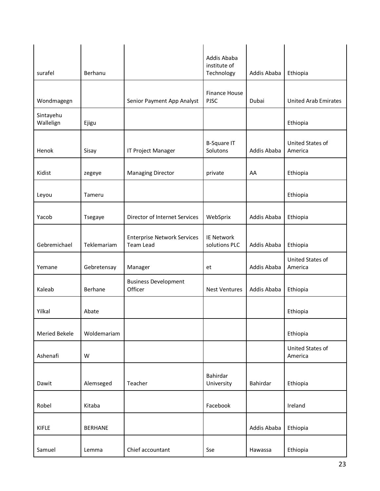| surafel                | Berhanu        |                                                        | Addis Ababa<br>institute of<br>Technology | Addis Ababa | Ethiopia                    |
|------------------------|----------------|--------------------------------------------------------|-------------------------------------------|-------------|-----------------------------|
| Wondmagegn             |                | Senior Payment App Analyst                             | Finance House<br><b>PJSC</b>              | Dubai       | <b>United Arab Emirates</b> |
| Sintayehu<br>Wallelign | Ejigu          |                                                        |                                           |             | Ethiopia                    |
| Henok                  | Sisay          | IT Project Manager                                     | <b>B-Square IT</b><br>Solutons            | Addis Ababa | United States of<br>America |
| Kidist                 | zegeye         | <b>Managing Director</b>                               | private                                   | AA          | Ethiopia                    |
| Leyou                  | Tameru         |                                                        |                                           |             | Ethiopia                    |
| Yacob                  | Tsegaye        | Director of Internet Services                          | WebSprix                                  | Addis Ababa | Ethiopia                    |
| Gebremichael           | Teklemariam    | <b>Enterprise Network Services</b><br><b>Team Lead</b> | <b>IE Network</b><br>solutions PLC        | Addis Ababa | Ethiopia                    |
| Yemane                 | Gebretensay    | Manager                                                | et                                        | Addis Ababa | United States of<br>America |
| Kaleab                 | Berhane        | <b>Business Development</b><br>Officer                 | <b>Nest Ventures</b>                      | Addis Ababa | Ethiopia                    |
| Yilkal                 | Abate          |                                                        |                                           |             | Ethiopia                    |
| <b>Meried Bekele</b>   | Woldemariam    |                                                        |                                           |             | Ethiopia                    |
| Ashenafi               | W              |                                                        |                                           |             | United States of<br>America |
| Dawit                  | Alemseged      | Teacher                                                | Bahirdar<br>University                    | Bahirdar    | Ethiopia                    |
| Robel                  | Kitaba         |                                                        | Facebook                                  |             | Ireland                     |
| <b>KIFLE</b>           | <b>BERHANE</b> |                                                        |                                           | Addis Ababa | Ethiopia                    |
| Samuel                 | Lemma          | Chief accountant                                       | Sse                                       | Hawassa     | Ethiopia                    |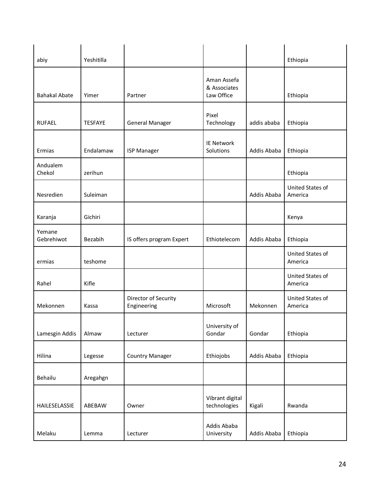| abiy                 | Yeshitilla     |                                     |                                           |             | Ethiopia                           |
|----------------------|----------------|-------------------------------------|-------------------------------------------|-------------|------------------------------------|
| <b>Bahakal Abate</b> | Yimer          | Partner                             | Aman Assefa<br>& Associates<br>Law Office |             | Ethiopia                           |
| <b>RUFAEL</b>        | <b>TESFAYE</b> | <b>General Manager</b>              | Pixel<br>Technology                       | addis ababa | Ethiopia                           |
| Ermias               | Endalamaw      | <b>ISP Manager</b>                  | <b>IE Network</b><br>Solutions            | Addis Ababa | Ethiopia                           |
| Andualem<br>Chekol   | zerihun        |                                     |                                           |             | Ethiopia                           |
| Nesredien            | Suleiman       |                                     |                                           | Addis Ababa | <b>United States of</b><br>America |
| Karanja              | Gichiri        |                                     |                                           |             | Kenya                              |
| Yemane<br>Gebrehiwot | Bezabih        | IS offers program Expert            | Ethiotelecom                              | Addis Ababa | Ethiopia                           |
| ermias               | teshome        |                                     |                                           |             | <b>United States of</b><br>America |
| Rahel                | Kifle          |                                     |                                           |             | <b>United States of</b><br>America |
| Mekonnen             | Kassa          | Director of Security<br>Engineering | Microsoft                                 | Mekonnen    | United States of<br>America        |
| Lamesgin Addis       | Almaw          | Lecturer                            | University of<br>Gondar                   | Gondar      | Ethiopia                           |
| Hilina               | Legesse        | <b>Country Manager</b>              | Ethiojobs                                 | Addis Ababa | Ethiopia                           |
| Behailu              | Aregahgn       |                                     |                                           |             |                                    |
| HAILESELASSIE        | ABEBAW         | Owner                               | Vibrant digital<br>technologies           | Kigali      | Rwanda                             |
| Melaku               | Lemma          | Lecturer                            | Addis Ababa<br>University                 | Addis Ababa | Ethiopia                           |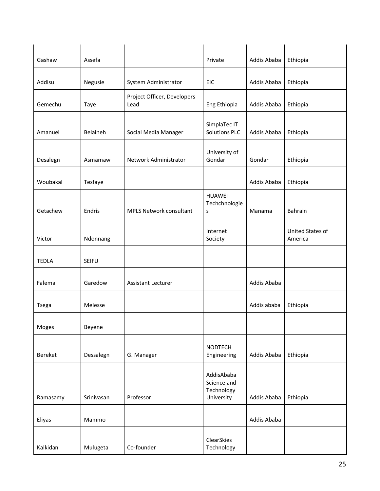| Gashaw       | Assefa     |                                     | Private                                               | Addis Ababa | Ethiopia                    |
|--------------|------------|-------------------------------------|-------------------------------------------------------|-------------|-----------------------------|
| Addisu       | Negusie    | System Administrator                | <b>EIC</b>                                            | Addis Ababa | Ethiopia                    |
| Gemechu      | Taye       | Project Officer, Developers<br>Lead | Eng Ethiopia                                          | Addis Ababa | Ethiopia                    |
| Amanuel      | Belaineh   | Social Media Manager                | SimplaTec IT<br><b>Solutions PLC</b>                  | Addis Ababa | Ethiopia                    |
| Desalegn     | Asmamaw    | Network Administrator               | University of<br>Gondar                               | Gondar      | Ethiopia                    |
| Woubakal     | Tesfaye    |                                     |                                                       | Addis Ababa | Ethiopia                    |
| Getachew     | Endris     | <b>MPLS Network consultant</b>      | <b>HUAWEI</b><br>Techchnologie<br>S                   | Manama      | Bahrain                     |
| Victor       | Ndonnang   |                                     | Internet<br>Society                                   |             | United States of<br>America |
| <b>TEDLA</b> | SEIFU      |                                     |                                                       |             |                             |
| Falema       | Garedow    | <b>Assistant Lecturer</b>           |                                                       | Addis Ababa |                             |
| Tsega        | Melesse    |                                     |                                                       | Addis ababa | Ethiopia                    |
| Moges        | Beyene     |                                     |                                                       |             |                             |
| Bereket      | Dessalegn  | G. Manager                          | <b>NODTECH</b><br>Engineering                         | Addis Ababa | Ethiopia                    |
| Ramasamy     | Srinivasan | Professor                           | AddisAbaba<br>Science and<br>Technology<br>University | Addis Ababa | Ethiopia                    |
| Eliyas       | Mammo      |                                     |                                                       | Addis Ababa |                             |
| Kalkidan     | Mulugeta   | Co-founder                          | ClearSkies<br>Technology                              |             |                             |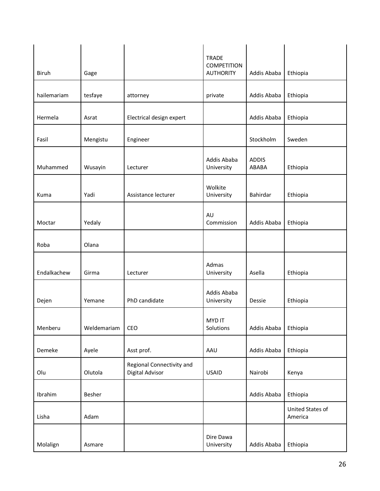| <b>Biruh</b> | Gage        |                                              | <b>TRADE</b><br><b>COMPETITION</b><br><b>AUTHORITY</b> | Addis Ababa           | Ethiopia                    |
|--------------|-------------|----------------------------------------------|--------------------------------------------------------|-----------------------|-----------------------------|
| hailemariam  | tesfaye     | attorney                                     | private                                                | Addis Ababa           | Ethiopia                    |
| Hermela      | Asrat       | Electrical design expert                     |                                                        | Addis Ababa           | Ethiopia                    |
| Fasil        | Mengistu    | Engineer                                     |                                                        | Stockholm             | Sweden                      |
| Muhammed     | Wusayin     | Lecturer                                     | Addis Ababa<br>University                              | <b>ADDIS</b><br>ABABA | Ethiopia                    |
| Kuma         | Yadi        | Assistance lecturer                          | Wolkite<br>University                                  | Bahirdar              | Ethiopia                    |
| Moctar       | Yedaly      |                                              | AU<br>Commission                                       | Addis Ababa           | Ethiopia                    |
| Roba         | Olana       |                                              |                                                        |                       |                             |
| Endalkachew  | Girma       | Lecturer                                     | Admas<br>University                                    | Asella                | Ethiopia                    |
| Dejen        | Yemane      | PhD candidate                                | Addis Ababa<br>University                              | Dessie                | Ethiopia                    |
| Menberu      | Weldemariam | CEO                                          | <b>MYDIT</b><br>Solutions                              | Addis Ababa           | Ethiopia                    |
| Demeke       | Ayele       | Asst prof.                                   | AAU                                                    | Addis Ababa           | Ethiopia                    |
| Olu          | Olutola     | Regional Connectivity and<br>Digital Advisor | <b>USAID</b>                                           | Nairobi               | Kenya                       |
| Ibrahim      | Besher      |                                              |                                                        | Addis Ababa           | Ethiopia                    |
| Lisha        | Adam        |                                              |                                                        |                       | United States of<br>America |
| Molalign     | Asmare      |                                              | Dire Dawa<br>University                                | Addis Ababa           | Ethiopia                    |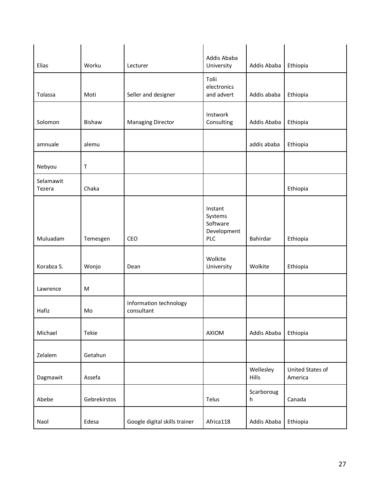| Elias               | Worku         | Lecturer                             | Addis Ababa<br>University                                   | Addis Ababa        | Ethiopia                    |
|---------------------|---------------|--------------------------------------|-------------------------------------------------------------|--------------------|-----------------------------|
| Tolassa             | Moti          | Seller and designer                  | Tolii<br>electronics<br>and advert                          | Addis ababa        | Ethiopia                    |
| Solomon             | <b>Bishaw</b> | <b>Managing Director</b>             | Instwork<br>Consulting                                      | Addis Ababa        | Ethiopia                    |
| amnuale             | alemu         |                                      |                                                             | addis ababa        | Ethiopia                    |
| Nebyou              | $\top$        |                                      |                                                             |                    |                             |
| Selamawit<br>Tezera | Chaka         |                                      |                                                             |                    | Ethiopia                    |
| Muluadam            | Temesgen      | CEO                                  | Instant<br>Systems<br>Software<br>Development<br><b>PLC</b> | Bahirdar           | Ethiopia                    |
| Korabza S.          | Wonjo         | Dean                                 | Wolkite<br>University                                       | Wolkite            | Ethiopia                    |
| Lawrence            | M             |                                      |                                                             |                    |                             |
| Hafiz               | Mo            | Information technology<br>consultant |                                                             |                    |                             |
| Michael             | Tekie         |                                      | AXIOM                                                       | Addis Ababa        | Ethiopia                    |
| Zelalem             | Getahun       |                                      |                                                             |                    |                             |
| Dagmawit            | Assefa        |                                      |                                                             | Wellesley<br>Hills | United States of<br>America |
| Abebe               | Gebrekirstos  |                                      | Telus                                                       | Scarboroug<br>h.   | Canada                      |
| Naol                | Edesa         | Google digital skills trainer        | Africa118                                                   | Addis Ababa        | Ethiopia                    |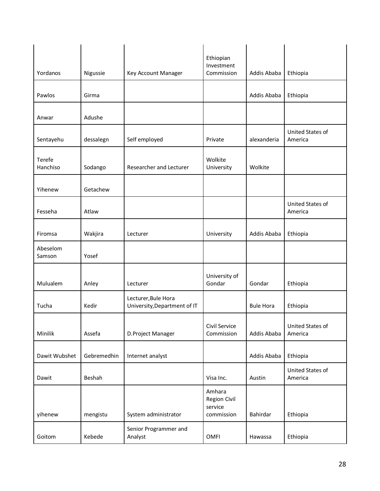|                    |             |                                                     | Ethiopian                                       |                  |                             |
|--------------------|-------------|-----------------------------------------------------|-------------------------------------------------|------------------|-----------------------------|
| Yordanos           | Nigussie    | Key Account Manager                                 | Investment<br>Commission                        | Addis Ababa      | Ethiopia                    |
| Pawlos             | Girma       |                                                     |                                                 | Addis Ababa      | Ethiopia                    |
| Anwar              | Adushe      |                                                     |                                                 |                  |                             |
| Sentayehu          | dessalegn   | Self employed                                       | Private                                         | alexanderia      | United States of<br>America |
| Terefe<br>Hanchiso | Sodango     | Researcher and Lecturer                             | Wolkite<br>University                           | Wolkite          |                             |
| Yihenew            | Getachew    |                                                     |                                                 |                  |                             |
| Fesseha            | Atlaw       |                                                     |                                                 |                  | United States of<br>America |
| Firomsa            | Wakjira     | Lecturer                                            | University                                      | Addis Ababa      | Ethiopia                    |
| Abeselom<br>Samson | Yosef       |                                                     |                                                 |                  |                             |
| Mulualem           | Anley       | Lecturer                                            | University of<br>Gondar                         | Gondar           | Ethiopia                    |
| Tucha              | Kedir       | Lecturer, Bule Hora<br>University, Department of IT |                                                 | <b>Bule Hora</b> | Ethiopia                    |
| Minilik            | Assefa      | D.Project Manager                                   | Civil Service<br>Commission                     | Addis Ababa      | United States of<br>America |
| Dawit Wubshet      | Gebremedhin | Internet analyst                                    |                                                 | Addis Ababa      | Ethiopia                    |
| Dawit              | Beshah      |                                                     | Visa Inc.                                       | Austin           | United States of<br>America |
| yihenew            | mengistu    | System administrator                                | Amhara<br>Region Civil<br>service<br>commission | Bahirdar         | Ethiopia                    |
| Goitom             | Kebede      | Senior Programmer and<br>Analyst                    | <b>OMFI</b>                                     | Hawassa          | Ethiopia                    |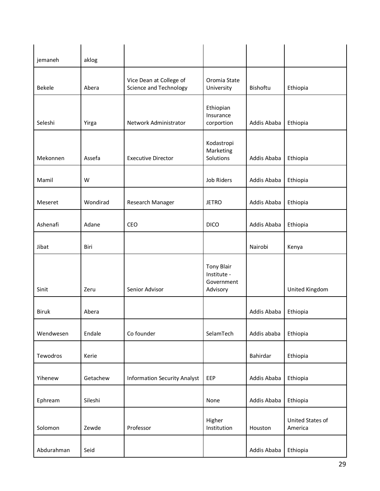| jemaneh       | aklog    |                                                   |                                                            |             |                             |
|---------------|----------|---------------------------------------------------|------------------------------------------------------------|-------------|-----------------------------|
| <b>Bekele</b> | Abera    | Vice Dean at College of<br>Science and Technology | Oromia State<br>University                                 | Bishoftu    | Ethiopia                    |
| Seleshi       | Yirga    | Network Administrator                             | Ethiopian<br>Insurance<br>corportion                       | Addis Ababa | Ethiopia                    |
| Mekonnen      | Assefa   | <b>Executive Director</b>                         | Kodastropi<br>Marketing<br>Solutions                       | Addis Ababa | Ethiopia                    |
| Mamil         | W        |                                                   | Job Riders                                                 | Addis Ababa | Ethiopia                    |
| Meseret       | Wondirad | Research Manager                                  | <b>JETRO</b>                                               | Addis Ababa | Ethiopia                    |
| Ashenafi      | Adane    | CEO                                               | <b>DICO</b>                                                | Addis Ababa | Ethiopia                    |
| Jibat         | Biri     |                                                   |                                                            | Nairobi     | Kenya                       |
| Sinit         | Zeru     | Senior Advisor                                    | <b>Tony Blair</b><br>Institute -<br>Government<br>Advisory |             | United Kingdom              |
| <b>Biruk</b>  | Abera    |                                                   |                                                            | Addis Ababa | Ethiopia                    |
| Wendwesen     | Endale   | Co founder                                        | SelamTech                                                  | Addis ababa | Ethiopia                    |
| Tewodros      | Kerie    |                                                   |                                                            | Bahirdar    | Ethiopia                    |
| Yihenew       | Getachew | <b>Information Security Analyst</b>               | EEP                                                        | Addis Ababa | Ethiopia                    |
| Ephream       | Sileshi  |                                                   | None                                                       | Addis Ababa | Ethiopia                    |
| Solomon       | Zewde    | Professor                                         | Higher<br>Institution                                      | Houston     | United States of<br>America |
| Abdurahman    | Seid     |                                                   |                                                            | Addis Ababa | Ethiopia                    |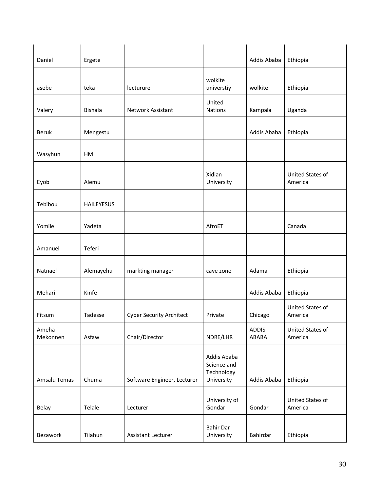| Daniel            | Ergete            |                                 |                                                        | Addis Ababa           | Ethiopia                    |
|-------------------|-------------------|---------------------------------|--------------------------------------------------------|-----------------------|-----------------------------|
| asebe             | teka              | lecturure                       | wolkite<br>universtiy                                  | wolkite               | Ethiopia                    |
| Valery            | Bishala           | <b>Network Assistant</b>        | United<br>Nations                                      | Kampala               | Uganda                      |
| <b>Beruk</b>      | Mengestu          |                                 |                                                        | Addis Ababa           | Ethiopia                    |
| Wasyhun           | HM                |                                 |                                                        |                       |                             |
| Eyob              | Alemu             |                                 | Xidian<br>University                                   |                       | United States of<br>America |
| Tebibou           | <b>HAILEYESUS</b> |                                 |                                                        |                       |                             |
| Yomile            | Yadeta            |                                 | AfroET                                                 |                       | Canada                      |
| Amanuel           | Teferi            |                                 |                                                        |                       |                             |
| Natnael           | Alemayehu         | markting manager                | cave zone                                              | Adama                 | Ethiopia                    |
| Mehari            | Kinfe             |                                 |                                                        | Addis Ababa           | Ethiopia                    |
| Fitsum            | Tadesse           | <b>Cyber Security Architect</b> | Private                                                | Chicago               | United States of<br>America |
| Ameha<br>Mekonnen | Asfaw             | Chair/Director                  | NDRE/LHR                                               | <b>ADDIS</b><br>ABABA | United States of<br>America |
| Amsalu Tomas      | Chuma             | Software Engineer, Lecturer     | Addis Ababa<br>Science and<br>Technology<br>University | Addis Ababa           | Ethiopia                    |
| Belay             | Telale            | Lecturer                        | University of<br>Gondar                                | Gondar                | United States of<br>America |
| Bezawork          | Tilahun           | Assistant Lecturer              | <b>Bahir Dar</b><br>University                         | Bahirdar              | Ethiopia                    |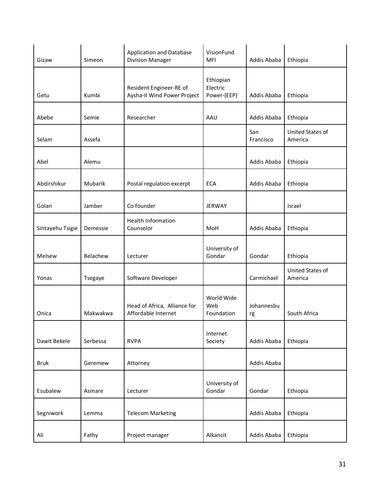| Gizaw            | Simeon   | <b>Application and Database</b><br><b>Division Manager</b> | VisionFund<br><b>MFI</b>             | Addis Ababa      | Ethiopia                    |
|------------------|----------|------------------------------------------------------------|--------------------------------------|------------------|-----------------------------|
| Getu             | Kumbi    | Resident Engineer-RE of<br>Aysha-II Wind Power Project     | Ethiopian<br>Electric<br>Power-(EEP) | Addis Ababa      | Ethiopia                    |
| Abebe            | Semie    | Researcher                                                 | AAU                                  | Addis Ababa      | Ethiopia                    |
| Selam            | Assefa   |                                                            |                                      | San<br>Francisco | United States of<br>America |
| Abel             | Alemu    |                                                            |                                      | Addis Ababa      | Ethiopia                    |
| Abdirshikur      | Mubarik  | Postal regulation excerpt                                  | <b>ECA</b>                           | Addis Ababa      | Ethiopia                    |
| Golan            | Jamber   | Co founder                                                 | <b>JERWAY</b>                        |                  | Israel                      |
| Sintayehu Tsigie | Demessie | <b>Health Information</b><br>Counselor                     | MoH                                  | Addis Ababa      | Ethiopia                    |
| Melsew           | Belachew | Lecturer                                                   | University of<br>Gondar              | Gondar           | Ethiopia                    |
| Yonas            | Tsegaye  | Software Developer                                         |                                      | Carmichael       | United States of<br>America |
| Onica            | Makwakwa | Head of Africa, Alliance for<br>Affordable Internet        | World Wide<br>Web<br>Foundation      | Johannesbu<br>rg | South Africa                |
| Dawit Bekele     | Serbessa | <b>RVPA</b>                                                | Internet<br>Society                  | Addis Ababa      | Ethiopia                    |
| <b>Bruk</b>      | Geremew  | Attorney                                                   |                                      | Addis Ababa      |                             |
| Esubalew         | Asmare   | Lecturer                                                   | University of<br>Gondar              | Gondar           | Ethiopia                    |
| Segniwork        | Lemma    | <b>Telecom Marketing</b>                                   |                                      | Addis Ababa      | Ethiopia                    |
| Ali              | Fathy    | Project manager                                            | Alkancit                             | Addis Ababa      | Ethiopia                    |